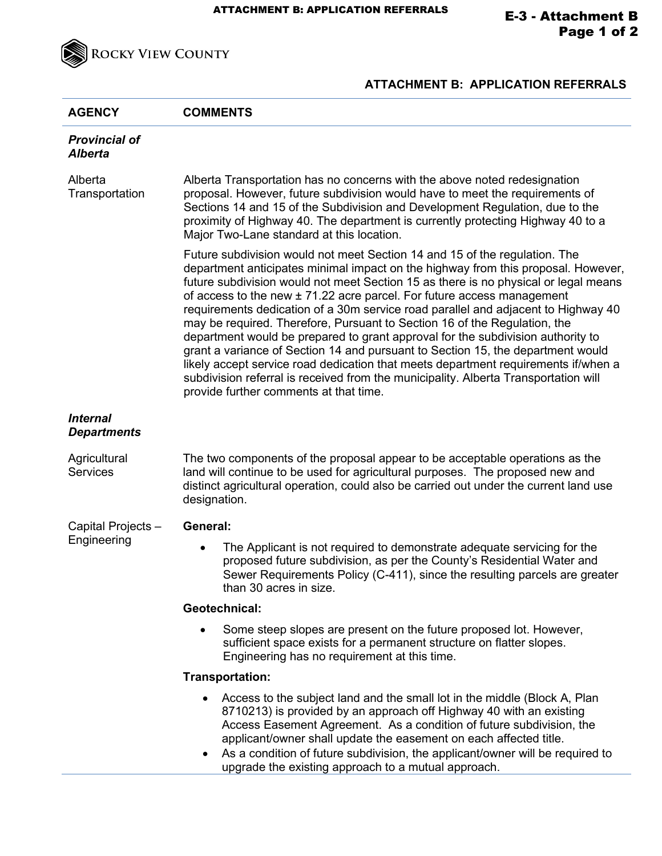

## **ATTACHMENT B: APPLICATION REFERRALS**

| <b>AGENCY</b>                          | <b>COMMENTS</b>                                                                                                                                                                                                                                                                                                                                                                                                                                                                                                                                                                                                                                                                                                                                                                                                                                                                                 |
|----------------------------------------|-------------------------------------------------------------------------------------------------------------------------------------------------------------------------------------------------------------------------------------------------------------------------------------------------------------------------------------------------------------------------------------------------------------------------------------------------------------------------------------------------------------------------------------------------------------------------------------------------------------------------------------------------------------------------------------------------------------------------------------------------------------------------------------------------------------------------------------------------------------------------------------------------|
| <b>Provincial of</b><br><b>Alberta</b> |                                                                                                                                                                                                                                                                                                                                                                                                                                                                                                                                                                                                                                                                                                                                                                                                                                                                                                 |
| Alberta<br>Transportation              | Alberta Transportation has no concerns with the above noted redesignation<br>proposal. However, future subdivision would have to meet the requirements of<br>Sections 14 and 15 of the Subdivision and Development Regulation, due to the<br>proximity of Highway 40. The department is currently protecting Highway 40 to a<br>Major Two-Lane standard at this location.                                                                                                                                                                                                                                                                                                                                                                                                                                                                                                                       |
|                                        | Future subdivision would not meet Section 14 and 15 of the regulation. The<br>department anticipates minimal impact on the highway from this proposal. However,<br>future subdivision would not meet Section 15 as there is no physical or legal means<br>of access to the new ± 71.22 acre parcel. For future access management<br>requirements dedication of a 30m service road parallel and adjacent to Highway 40<br>may be required. Therefore, Pursuant to Section 16 of the Regulation, the<br>department would be prepared to grant approval for the subdivision authority to<br>grant a variance of Section 14 and pursuant to Section 15, the department would<br>likely accept service road dedication that meets department requirements if/when a<br>subdivision referral is received from the municipality. Alberta Transportation will<br>provide further comments at that time. |
| <b>Internal</b><br><b>Departments</b>  |                                                                                                                                                                                                                                                                                                                                                                                                                                                                                                                                                                                                                                                                                                                                                                                                                                                                                                 |
| Agricultural<br><b>Services</b>        | The two components of the proposal appear to be acceptable operations as the<br>land will continue to be used for agricultural purposes. The proposed new and<br>distinct agricultural operation, could also be carried out under the current land use<br>designation.                                                                                                                                                                                                                                                                                                                                                                                                                                                                                                                                                                                                                          |
| Capital Projects -<br>Engineering      | <b>General:</b>                                                                                                                                                                                                                                                                                                                                                                                                                                                                                                                                                                                                                                                                                                                                                                                                                                                                                 |
|                                        | The Applicant is not required to demonstrate adequate servicing for the<br>$\bullet$<br>proposed future subdivision, as per the County's Residential Water and<br>Sewer Requirements Policy (C-411), since the resulting parcels are greater<br>than 30 acres in size.                                                                                                                                                                                                                                                                                                                                                                                                                                                                                                                                                                                                                          |
|                                        | Geotechnical:                                                                                                                                                                                                                                                                                                                                                                                                                                                                                                                                                                                                                                                                                                                                                                                                                                                                                   |
|                                        | Some steep slopes are present on the future proposed lot. However,<br>sufficient space exists for a permanent structure on flatter slopes.<br>Engineering has no requirement at this time.                                                                                                                                                                                                                                                                                                                                                                                                                                                                                                                                                                                                                                                                                                      |
|                                        | Transportation:                                                                                                                                                                                                                                                                                                                                                                                                                                                                                                                                                                                                                                                                                                                                                                                                                                                                                 |
|                                        | Access to the subject land and the small lot in the middle (Block A, Plan<br>8710213) is provided by an approach off Highway 40 with an existing<br>Access Easement Agreement. As a condition of future subdivision, the<br>applicant/owner shall update the easement on each affected title.<br>As a condition of future subdivision, the applicant/owner will be required to<br>upgrade the existing approach to a mutual approach.                                                                                                                                                                                                                                                                                                                                                                                                                                                           |